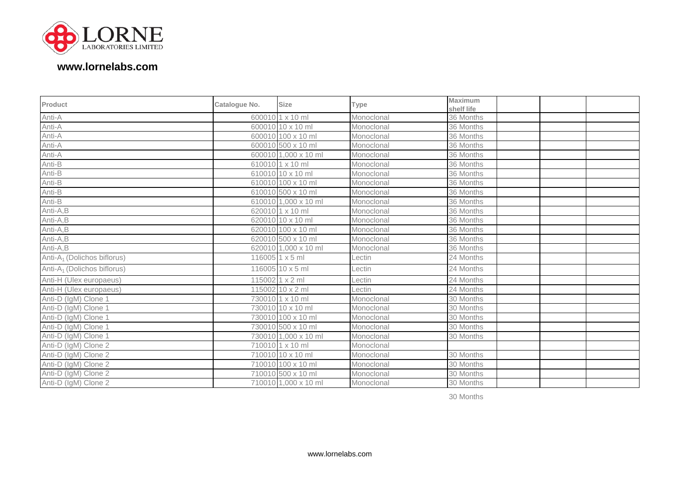

## **www.lornelabs.com**

| Product                                 | Catalogue No. | <b>Size</b>          | Type       | <b>Maximum</b> |  |
|-----------------------------------------|---------------|----------------------|------------|----------------|--|
|                                         |               |                      |            | shelf life     |  |
| Anti-A                                  |               | 600010 1 x 10 ml     | Monoclonal | 36 Months      |  |
| Anti-A                                  |               | 600010 10 x 10 ml    | Monoclonal | 36 Months      |  |
| Anti-A                                  |               | 600010 100 x 10 ml   | Monoclonal | 36 Months      |  |
| Anti-A                                  |               | 600010 500 x 10 ml   | Monoclonal | 36 Months      |  |
| Anti-A                                  |               | 600010 1,000 x 10 ml | Monoclonal | 36 Months      |  |
| Anti-B                                  |               | 610010 1 x 10 ml     | Monoclonal | 36 Months      |  |
| Anti-B                                  |               | 610010 10 x 10 ml    | Monoclonal | 36 Months      |  |
| Anti-B                                  |               | 610010 100 x 10 ml   | Monoclonal | 36 Months      |  |
| Anti-B                                  |               | 610010 500 x 10 ml   | Monoclonal | 36 Months      |  |
| Anti-B                                  |               | 610010 1,000 x 10 ml | Monoclonal | 36 Months      |  |
| Anti-A,B                                |               | 620010 1 x 10 ml     | Monoclonal | 36 Months      |  |
| Anti-A,B                                |               | 620010 10 x 10 ml    | Monoclonal | 36 Months      |  |
| Anti-A,B                                |               | 620010 100 x 10 ml   | Monoclonal | 36 Months      |  |
| Anti-A,B                                |               | 620010 500 x 10 ml   | Monoclonal | 36 Months      |  |
| Anti-A,B                                |               | 620010 1,000 x 10 ml | Monoclonal | 36 Months      |  |
| Anti-A <sub>1</sub> (Dolichos biflorus) |               | 116005 1 x 5 ml      | Lectin     | 24 Months      |  |
| Anti-A <sub>1</sub> (Dolichos biflorus) |               | 116005 10 x 5 ml     | Lectin     | 24 Months      |  |
| Anti-H (Ulex europaeus)                 |               | 115002 1 x 2 ml      | Lectin     | 24 Months      |  |
| Anti-H (Ulex europaeus)                 |               | 115002 10 x 2 ml     | Lectin     | 24 Months      |  |
| Anti-D (IgM) Clone 1                    |               | 730010 1 x 10 ml     | Monoclonal | 30 Months      |  |
| Anti-D (IgM) Clone 1                    |               | 730010 10 x 10 ml    | Monoclonal | 30 Months      |  |
| Anti-D (IgM) Clone 1                    |               | 730010 100 x 10 ml   | Monoclonal | 30 Months      |  |
| Anti-D (IgM) Clone 1                    |               | 730010 500 x 10 ml   | Monoclonal | 30 Months      |  |
| Anti-D (IgM) Clone 1                    |               | 730010 1,000 x 10 ml | Monoclonal | 30 Months      |  |
| Anti-D (IgM) Clone 2                    |               | 710010 1 x 10 ml     | Monoclonal |                |  |
| Anti-D (IgM) Clone 2                    |               | 710010 10 x 10 ml    | Monoclonal | 30 Months      |  |
| Anti-D (IgM) Clone 2                    |               | 710010 100 x 10 ml   | Monoclonal | 30 Months      |  |
| Anti-D (IgM) Clone 2                    |               | 710010 500 x 10 ml   | Monoclonal | 30 Months      |  |
| Anti-D (IgM) Clone 2                    |               | 710010 1,000 x 10 ml | Monoclonal | 30 Months      |  |

30 Months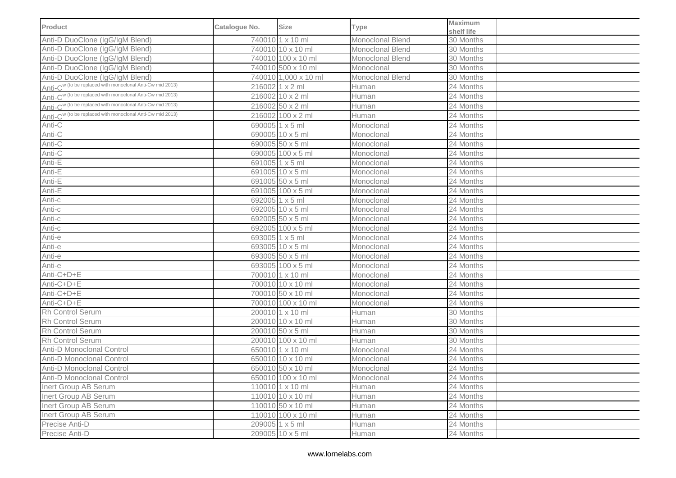| <b>Product</b>                                                        | Catalogue No. | <b>Size</b>          | Type             | <b>Maximum</b><br>shelf life |  |
|-----------------------------------------------------------------------|---------------|----------------------|------------------|------------------------------|--|
| Anti-D DuoClone (IgG/IgM Blend)                                       |               | 740010 1 x 10 ml     | Monoclonal Blend | 30 Months                    |  |
| Anti-D DuoClone (IgG/IgM Blend)                                       |               | 740010 10 x 10 ml    | Monoclonal Blend | 30 Months                    |  |
| Anti-D DuoClone (IgG/IgM Blend)                                       |               | 740010 100 x 10 ml   | Monoclonal Blend | 30 Months                    |  |
| Anti-D DuoClone (IgG/IgM Blend)                                       |               | 740010 500 x 10 ml   | Monoclonal       | 30 Months                    |  |
| Anti-D DuoClone (IgG/IgM Blend)                                       |               | 740010 1,000 x 10 ml | Monoclonal Blend | 30 Months                    |  |
| Anti-C <sup>w</sup> (to be replaced with monoclonal Anti-Cw mid 2013) |               | 216002 1 x 2 ml      | Human            | 24 Months                    |  |
| Anti-C <sup>w</sup> (to be replaced with monoclonal Anti-Cw mid 2013) |               | 216002 10 x 2 ml     | Human            | 24 Months                    |  |
| Anti-C <sup>w (to be replaced with monoclonal Anti-Cw mid 2013)</sup> |               | 216002 50 x 2 ml     | Human            | 24 Months                    |  |
| Anti-C <sup>w (to be replaced with monoclonal Anti-Cw mid 2013)</sup> |               | 216002 100 x 2 ml    | Human            | 24 Months                    |  |
| Anti- $\overline{C}$                                                  |               | 690005 1 x 5 ml      | Monoclonal       | 24 Months                    |  |
| Anti-C                                                                |               | 690005 10 x 5 ml     | Monoclonal       | 24 Months                    |  |
| Anti-C                                                                |               | 690005 50 x 5 ml     | Monoclonal       | 24 Months                    |  |
| Anti-C                                                                |               | 690005 100 x 5 ml    | Monoclonal       | 24 Months                    |  |
| Anti-E                                                                |               | 691005 1 x 5 ml      | Monoclonal       | 24 Months                    |  |
| Anti-E                                                                |               | 691005 10 x 5 ml     | Monoclonal       | 24 Months                    |  |
| Anti-E                                                                |               | 691005 50 x 5 ml     | Monoclonal       | 24 Months                    |  |
| Anti-E                                                                |               | 691005 100 x 5 ml    | Monoclonal       | 24 Months                    |  |
| Anti-c                                                                |               | 692005 1 x 5 ml      | Monoclonal       | 24 Months                    |  |
| Anti-c                                                                |               | 692005 10 x 5 ml     | Monoclonal       | 24 Months                    |  |
| Anti-c                                                                |               | 692005 50 x 5 ml     | Monoclonal       | 24 Months                    |  |
| Anti-c                                                                |               | 692005 100 x 5 ml    | Monoclonal       | 24 Months                    |  |
| Anti-e                                                                |               | 693005 1 x 5 ml      | Monoclonal       | 24 Months                    |  |
| Anti-e                                                                |               | 693005 10 x 5 ml     | Monoclonal       | 24 Months                    |  |
| Anti-e                                                                |               | 693005 50 x 5 ml     | Monoclonal       | 24 Months                    |  |
| Anti-e                                                                |               | 693005 100 x 5 ml    | Monoclonal       | 24 Months                    |  |
| Anti-C+D+E                                                            |               | 700010 1 x 10 ml     | Monoclonal       | 24 Months                    |  |
| Anti-C+D+E                                                            |               | 700010 10 x 10 ml    | Monoclonal       | 24 Months                    |  |
| Anti-C+D+E                                                            |               | 700010 50 x 10 ml    | Monoclonal       | 24 Months                    |  |
| Anti-C+D+E                                                            |               | 700010 100 x 10 ml   | Monoclonal       | 24 Months                    |  |
| Rh Control Serum                                                      |               | 200010 1 x 10 ml     | Human            | 30 Months                    |  |
| Rh Control Serum                                                      |               | 200010 10 x 10 ml    | Human            | 30 Months                    |  |
| <b>Rh Control Serum</b>                                               |               | 200010 50 x 5 ml     | Human            | 30 Months                    |  |
| Rh Control Serum                                                      |               | 200010 100 x 10 ml   | Human            | 30 Months                    |  |
| Anti-D Monoclonal Control                                             |               | 650010 1 x 10 ml     | Monoclonal       | 24 Months                    |  |
| Anti-D Monoclonal Control                                             |               | 650010 10 x 10 ml    | Monoclonal       | 24 Months                    |  |
| Anti-D Monoclonal Control                                             |               | 650010 50 x 10 ml    | Monoclonal       | 24 Months                    |  |
| Anti-D Monoclonal Control                                             |               | 650010 100 x 10 ml   | Monoclonal       | 24 Months                    |  |
| Inert Group AB Serum                                                  |               | 110010 1 x 10 ml     | Human            | 24 Months                    |  |
| Inert Group AB Serum                                                  |               | 110010 10 x 10 ml    | Human            | 24 Months                    |  |
| Inert Group AB Serum                                                  |               | 110010 50 x 10 ml    | Human            | 24 Months                    |  |
| Inert Group AB Serum                                                  |               | 110010 100 x 10 ml   | Human            | 24 Months                    |  |
| Precise Anti-D                                                        |               | 209005 1 x 5 ml      | Human            | 24 Months                    |  |
| Precise Anti-D                                                        |               | 209005 10 x 5 ml     | Human            | 24 Months                    |  |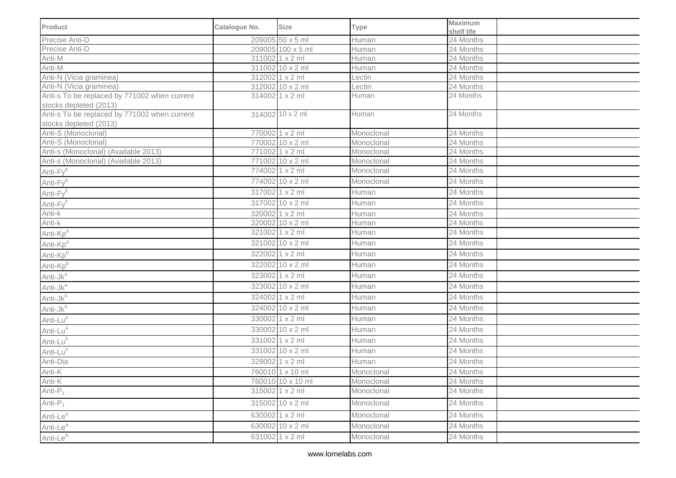| Product                                                                | Catalogue No. | <b>Size</b>       | <b>Type</b> | <b>Maximum</b><br>shelf life |  |
|------------------------------------------------------------------------|---------------|-------------------|-------------|------------------------------|--|
| Precise Anti-D                                                         |               | 209005 50 x 5 ml  | Human       | 24 Months                    |  |
| Precise Anti-D                                                         |               | 209005 100 x 5 ml | Human       | 24 Months                    |  |
| Anti-M                                                                 |               | 311002 1 x 2 ml   | Human       | 24 Months                    |  |
| Anti-M                                                                 |               | 311002 10 x 2 ml  | Human       | 24 Months                    |  |
| Anti-N (Vicia graminea)                                                |               | 312002 1 x 2 ml   | Lectin      | 24 Months                    |  |
| Anti-N (Vicia graminea)                                                |               | 312002 10 x 2 ml  | Lectin      | 24 Months                    |  |
| Anti-s To be replaced by 771002 when current<br>stocks depleted (2013) |               | 314002 1 x 2 ml   | Human       | 24 Months                    |  |
| Anti-s To be replaced by 771002 when current<br>stocks depleted (2013) |               | 314002 10 x 2 ml  | Human       | 24 Months                    |  |
| Anti-S (Monoclonal)                                                    |               | 770002 1 x 2 ml   | Monoclonal  | 24 Months                    |  |
| Anti-S (Monoclonal)                                                    |               | 770002 10 x 2 ml  | Monoclonal  | 24 Months                    |  |
| Anti-s (Monoclonal) (Available 2013)                                   |               | 771002 1 x 2 ml   | Monoclonal  | 24 Months                    |  |
| Anti-s (Monoclonal) (Available 2013)                                   |               | 771002 10 x 2 ml  | Monoclonal  | 24 Months                    |  |
| Anti-Fy <sup>a</sup>                                                   |               | 774002 1 x 2 ml   | Monoclonal  | 24 Months                    |  |
| Anti-Fy <sup>a</sup>                                                   |               | 774002 10 x 2 ml  | Monoclonal  | 24 Months                    |  |
| Anti-Fyb                                                               |               | 317002 1 x 2 ml   | Human       | 24 Months                    |  |
| Anti-Fyb                                                               |               | 317002 10 x 2 ml  | Human       | 24 Months                    |  |
| Anti-k                                                                 |               | 320002 1 x 2 ml   | Human       | 24 Months                    |  |
| Anti-k                                                                 |               | 320002 10 x 2 ml  | Human       | 24 Months                    |  |
| Anti-Kp <sup>a</sup>                                                   |               | 321002 1 x 2 ml   | Human       | 24 Months                    |  |
| Anti-Kp <sup>a</sup>                                                   |               | 321002 10 x 2 ml  | Human       | 24 Months                    |  |
| Anti-Kpb                                                               |               | 322002 1 x 2 ml   | Human       | 24 Months                    |  |
| Anti-Kp <sup>b</sup>                                                   |               | 322002 10 x 2 ml  | Human       | 24 Months                    |  |
| Anti-Jk <sup>a</sup>                                                   |               | 323002 1 x 2 ml   | Human       | 24 Months                    |  |
| Anti-Jk <sup>a</sup>                                                   |               | 323002 10 x 2 ml  | Human       | 24 Months                    |  |
| Anti-Jk <sup>b</sup>                                                   |               | 324002 1 x 2 ml   | Human       | 24 Months                    |  |
| Anti-Jkb                                                               |               | 324002 10 x 2 ml  | Human       | 24 Months                    |  |
| Anti-Lu <sup>a</sup>                                                   |               | 330002 1 x 2 ml   | Human       | 24 Months                    |  |
| Anti-Lu <sup>a</sup>                                                   |               | 330002 10 x 2 ml  | Human       | 24 Months                    |  |
| Anti-Lub                                                               |               | 331002 1 x 2 ml   | Human       | 24 Months                    |  |
| Anti-Lu <sup>b</sup>                                                   |               | 331002 10 x 2 ml  | Human       | 24 Months                    |  |
| Anti-Dia                                                               |               | 328002 1 x 2 ml   | Human       | 24 Months                    |  |
| Anti-K                                                                 |               | 760010 1 x 10 ml  | Monoclonal  | 24 Months                    |  |
| Anti-K                                                                 |               | 760010 10 x 10 ml | Monoclonal  | 24 Months                    |  |
| Anti- $P_1$                                                            |               | 315002 1 x 2 ml   | Monoclonal  | 24 Months                    |  |
| Anti- $P_1$                                                            |               | 315002 10 x 2 ml  | Monoclonal  | 24 Months                    |  |
| Anti-Le <sup>a</sup>                                                   |               | 630002 1 x 2 ml   | Monoclonal  | 24 Months                    |  |
| Anti-Le <sup>a</sup>                                                   |               | 630002 10 x 2 ml  | Monoclonal  | 24 Months                    |  |
| Anti-Le <sup>b</sup>                                                   |               | 631002 1 x 2 ml   | Monoclonal  | 24 Months                    |  |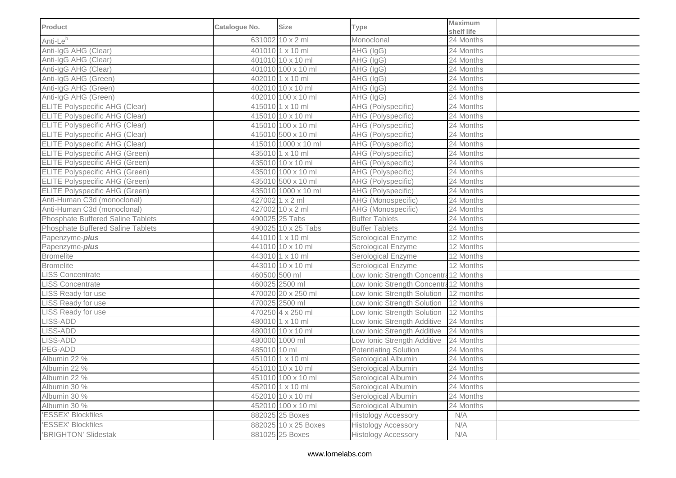| Product                               | Catalogue No. | <b>Size</b>          | <b>Type</b>                            | <b>Maximum</b><br>shelf life |  |
|---------------------------------------|---------------|----------------------|----------------------------------------|------------------------------|--|
| Anti-Le <sup>b</sup>                  |               | 631002 10 x 2 ml     | Monoclonal                             | 24 Months                    |  |
| Anti-IgG AHG (Clear)                  |               | 401010 1 x 10 ml     | AHG (IgG)                              | 24 Months                    |  |
| Anti-IgG AHG (Clear)                  |               | 401010 10 x 10 ml    | AHG (IgG)                              | 24 Months                    |  |
| Anti-IgG AHG (Clear)                  |               | 401010 100 x 10 ml   | AHG (IgG)                              | 24 Months                    |  |
| Anti-IgG AHG (Green)                  |               | 402010 1 x 10 ml     | AHG (IgG)                              | 24 Months                    |  |
| Anti-IgG AHG (Green)                  |               | 402010 10 x 10 ml    | AHG (IgG)                              | 24 Months                    |  |
| Anti-IgG AHG (Green)                  |               | 402010 100 x 10 ml   | AHG (IgG)                              | 24 Months                    |  |
| <b>ELITE Polyspecific AHG (Clear)</b> |               | 415010 1 x 10 ml     | AHG (Polyspecific)                     | 24 Months                    |  |
| <b>ELITE Polyspecific AHG (Clear)</b> |               | 415010 10 x 10 ml    | AHG (Polyspecific)                     | 24 Months                    |  |
| <b>ELITE Polyspecific AHG (Clear)</b> |               | 415010 100 x 10 ml   | AHG (Polyspecific)                     | 24 Months                    |  |
| <b>ELITE Polyspecific AHG (Clear)</b> |               | 415010 500 x 10 ml   | AHG (Polyspecific)                     | 24 Months                    |  |
| <b>ELITE Polyspecific AHG (Clear)</b> |               | 415010 1000 x 10 ml  | AHG (Polyspecific)                     | 24 Months                    |  |
| <b>ELITE Polyspecific AHG (Green)</b> |               | 435010 1 x 10 ml     | AHG (Polyspecific)                     | 24 Months                    |  |
| <b>ELITE Polyspecific AHG (Green)</b> |               | 435010 10 x 10 ml    | AHG (Polyspecific)                     | 24 Months                    |  |
| <b>ELITE Polyspecific AHG (Green)</b> |               | 435010 100 x 10 ml   | AHG (Polyspecific)                     | 24 Months                    |  |
| <b>ELITE Polyspecific AHG (Green)</b> |               | 435010 500 x 10 ml   | AHG (Polyspecific)                     | 24 Months                    |  |
| <b>ELITE Polyspecific AHG (Green)</b> |               | 435010 1000 x 10 ml  | AHG (Polyspecific)                     | 24 Months                    |  |
| Anti-Human C3d (monoclonal)           |               | 427002 1 x 2 ml      | AHG (Monospecific)                     | 24 Months                    |  |
| Anti-Human C3d (monoclonal)           |               | 427002 10 x 2 ml     | AHG (Monospecific)                     | 24 Months                    |  |
| Phosphate Buffered Saline Tablets     |               | 490025 25 Tabs       | <b>Buffer Tablets</b>                  | 24 Months                    |  |
| Phosphate Buffered Saline Tablets     |               | 490025 10 x 25 Tabs  | <b>Buffer Tablets</b>                  | 24 Months                    |  |
| Papenzyme-plus                        |               | 441010 1 x 10 ml     | Serological Enzyme                     | 12 Months                    |  |
| Papenzyme-plus                        |               | 441010 10 x 10 ml    | Serological Enzyme                     | 12 Months                    |  |
| <b>Bromelite</b>                      |               | 443010 1 x 10 ml     | Serological Enzyme                     | 12 Months                    |  |
| <b>Bromelite</b>                      |               | 443010 10 x 10 ml    | Serological Enzyme                     | 12 Months                    |  |
| <b>LISS Concentrate</b>               | 460500 500 ml |                      | Low Ionic Strength Concentra 12 Months |                              |  |
| <b>LISS Concentrate</b>               |               | 460025 2500 ml       | Low Ionic Strength Concentra 12 Months |                              |  |
| LISS Ready for use                    |               | 470020 20 x 250 ml   | Low Ionic Strength Solution            | 12 months                    |  |
| <b>LISS</b> Ready for use             |               | 470025 2500 ml       | Low Ionic Strength Solution            | 12 Months                    |  |
| LISS Ready for use                    |               | 470250 4 x 250 ml    | Low Ionic Strength Solution            | 12 Months                    |  |
| LISS-ADD                              |               | 480010 1 x 10 ml     | Low Ionic Strength Additive            | 24 Months                    |  |
| LISS-ADD                              |               | 480010 10 x 10 ml    | Low Ionic Strength Additive            | 24 Months                    |  |
| LISS-ADD                              |               | 480000 1000 ml       | Low Ionic Strength Additive            | 24 Months                    |  |
| PEG-ADD                               | 485010 10 ml  |                      | <b>Potentiating Solution</b>           | 24 Months                    |  |
| Albumin 22 %                          |               | 451010 1 x 10 ml     | Serological Albumin                    | 24 Months                    |  |
| Albumin 22 %                          |               | 451010 10 x 10 ml    | Serological Albumin                    | 24 Months                    |  |
| Albumin 22 %                          |               | 451010 100 x 10 ml   | Serological Albumin                    | 24 Months                    |  |
| Albumin 30 %                          |               | 452010 1 x 10 ml     | Serological Albumin                    | 24 Months                    |  |
| Albumin 30 %                          |               | 452010 10 x 10 ml    | Serological Albumin                    | 24 Months                    |  |
| Albumin 30 %                          |               | 452010 100 x 10 ml   | Serological Albumin                    | 24 Months                    |  |
| 'ESSEX' Blockfiles                    |               | 882025 25 Boxes      | <b>Histology Accessory</b>             | N/A                          |  |
| 'ESSEX' Blockfiles                    |               | 882025 10 x 25 Boxes | <b>Histology Accessory</b>             | N/A                          |  |
| 'BRIGHTON' Slidestak                  |               | 881025 25 Boxes      | <b>Histology Accessory</b>             | N/A                          |  |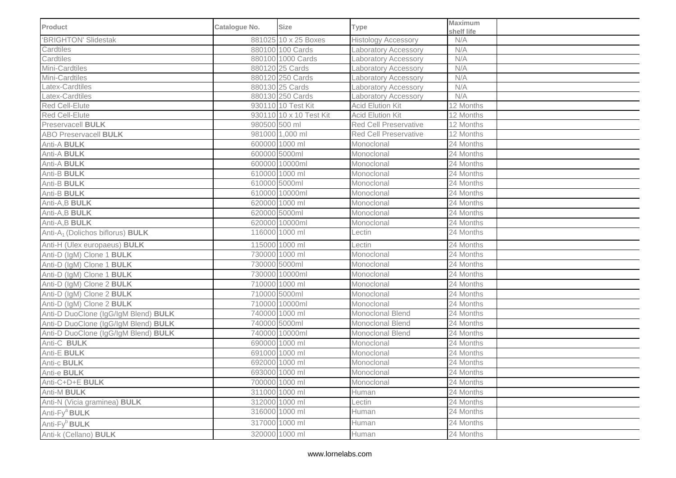| <b>Product</b>                                      | Catalogue No. | <b>Size</b>             | Type                         | Maximum<br>shelf life |  |
|-----------------------------------------------------|---------------|-------------------------|------------------------------|-----------------------|--|
| 'BRIGHTON' Slidestak                                |               | 881025 10 x 25 Boxes    | <b>Histology Accessory</b>   | N/A                   |  |
| Cardtiles                                           |               | 880100 100 Cards        | Laboratory Accessory         | N/A                   |  |
| Cardtiles                                           |               | 880100 1000 Cards       | <b>Laboratory Accessory</b>  | N/A                   |  |
| Mini-Cardtiles                                      |               | 880120 25 Cards         | Laboratory Accessory         | N/A                   |  |
| Mini-Cardtiles                                      |               | 880120 250 Cards        | Laboratory Accessory         | N/A                   |  |
| Latex-Cardtiles                                     |               | 880130 25 Cards         | Laboratory Accessory         | N/A                   |  |
| Latex-Cardtiles                                     |               | 880130 250 Cards        | Laboratory Accessory         | N/A                   |  |
| Red Cell-Elute                                      |               | 930110 10 Test Kit      | <b>Acid Elution Kit</b>      | 12 Months             |  |
| Red Cell-Elute                                      |               | 930110 10 x 10 Test Kit | <b>Acid Elution Kit</b>      | 12 Months             |  |
| Preservacell <b>BULK</b>                            | 980500 500 ml |                         | <b>Red Cell Preservative</b> | 12 Months             |  |
| <b>ABO Preservacell BULK</b>                        |               | 981000 1,000 ml         | <b>Red Cell Preservative</b> | 12 Months             |  |
| Anti-A BULK                                         |               | 600000 1000 ml          | Monoclonal                   | 24 Months             |  |
| Anti-A BULK                                         |               | 600000 5000ml           | Monoclonal                   | 24 Months             |  |
| Anti-A BULK                                         |               | 600000 10000ml          | Monoclonal                   | 24 Months             |  |
| Anti-B BULK                                         |               | 610000 1000 ml          | Monoclonal                   | 24 Months             |  |
| Anti-B BULK                                         |               | 610000 5000ml           | Monoclonal                   | 24 Months             |  |
| Anti-B <b>BULK</b>                                  |               | 610000 10000ml          | Monoclonal                   | 24 Months             |  |
| Anti-A,B BULK                                       |               | 620000 1000 ml          | Monoclonal                   | 24 Months             |  |
| Anti-A,B BULK                                       |               | 620000 5000ml           | Monoclonal                   | 24 Months             |  |
| Anti-A,B BULK                                       |               | 620000 10000ml          | Monoclonal                   | 24 Months             |  |
| Anti-A <sub>1</sub> (Dolichos biflorus) <b>BULK</b> |               | 116000 1000 ml          | Lectin                       | 24 Months             |  |
| Anti-H (Ulex europaeus) BULK                        |               | 115000 1000 ml          | Lectin                       | 24 Months             |  |
| Anti-D (IgM) Clone 1 BULK                           |               | 730000 1000 ml          | Monoclonal                   | 24 Months             |  |
| Anti-D (IgM) Clone 1 BULK                           |               | 730000 5000ml           | Monoclonal                   | 24 Months             |  |
| Anti-D (IgM) Clone 1 BULK                           |               | 730000 10000ml          | Monoclonal                   | 24 Months             |  |
| Anti-D (IgM) Clone 2 BULK                           |               | 710000 1000 ml          | Monoclonal                   | 24 Months             |  |
| Anti-D (IgM) Clone 2 BULK                           |               | 710000 5000ml           | Monoclonal                   | 24 Months             |  |
| Anti-D (IgM) Clone 2 BULK                           |               | 710000 10000ml          | Monoclonal                   | 24 Months             |  |
| Anti-D DuoClone (IgG/IgM Blend) BULK                |               | 740000 1000 ml          | Monoclonal Blend             | 24 Months             |  |
| Anti-D DuoClone (IgG/IgM Blend) BULK                |               | 740000 5000ml           | Monoclonal Blend             | 24 Months             |  |
| Anti-D DuoClone (IgG/IgM Blend) BULK                |               | 740000 10000ml          | Monoclonal Blend             | 24 Months             |  |
| Anti-C BULK                                         |               | 690000 1000 ml          | Monoclonal                   | 24 Months             |  |
| Anti-E BULK                                         |               | 691000 1000 ml          | Monoclonal                   | 24 Months             |  |
| Anti-c <b>BULK</b>                                  |               | 692000 1000 ml          | Monoclonal                   | 24 Months             |  |
| Anti-e <b>BULK</b>                                  |               | 693000 1000 ml          | Monoclonal                   | 24 Months             |  |
| Anti-C+D+E BULK                                     |               | 700000 1000 ml          | Monoclonal                   | 24 Months             |  |
| Anti-M BULK                                         |               | 311000 1000 ml          | Human                        | 24 Months             |  |
| Anti-N (Vicia graminea) <b>BULK</b>                 |               | 312000 1000 ml          | Lectin                       | 24 Months             |  |
| Anti-Fy <sup>a</sup> BULK                           |               | 316000 1000 ml          | Human                        | 24 Months             |  |
| Anti-Fy <sup>b</sup> BULK                           |               | 317000 1000 ml          | Human                        | 24 Months             |  |
| Anti-k (Cellano) BULK                               |               | 320000 1000 ml          | Human                        | 24 Months             |  |